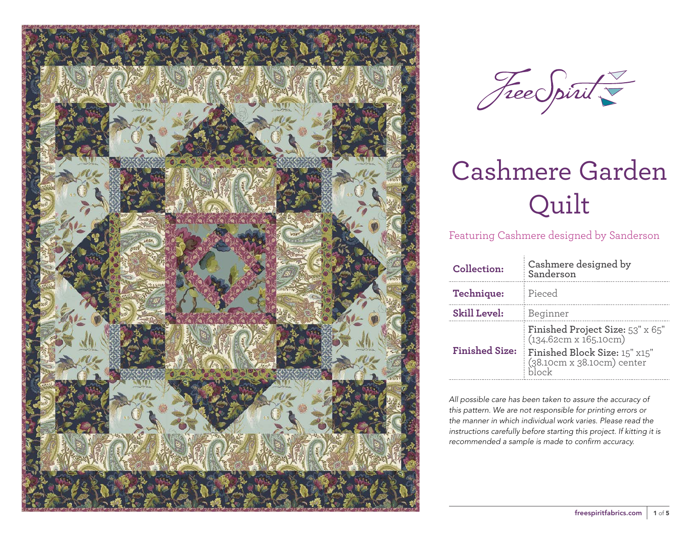



Featuring Cashmere designed by Sanderson

| Collection:           | Cashmere designed by<br>Sanderson                                                                                        |  |  |  |
|-----------------------|--------------------------------------------------------------------------------------------------------------------------|--|--|--|
| Technique:            | Pieced                                                                                                                   |  |  |  |
| <b>Skill Level:</b>   | Beginner                                                                                                                 |  |  |  |
| <b>Finished Size:</b> | Finished Project Size: 53" x 65"<br>(134.62cm x 165.10cm)<br>Finished Block Size: 15" x15"<br>(38.10cm x 38.10cm) center |  |  |  |

*All possible care has been taken to assure the accuracy of this pattern. We are not responsible for printing errors or the manner in which individual work varies. Please read the instructions carefully before starting this project. If kitting it is recommended a sample is made to confirm accuracy.*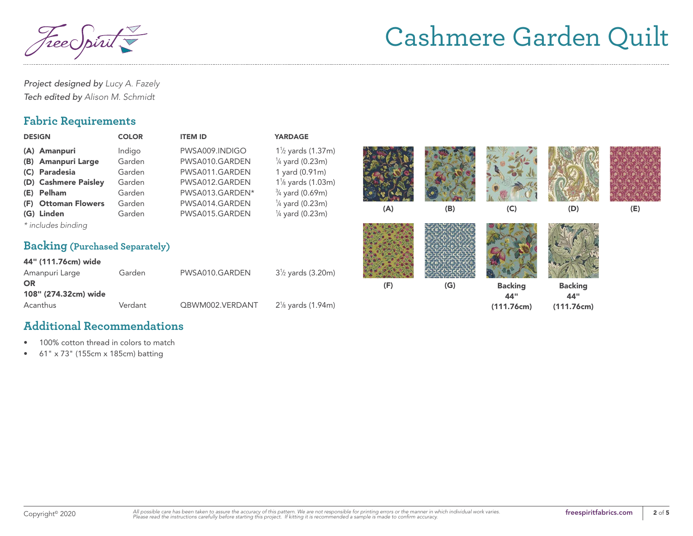TreeC

*Project designed by Lucy A. Fazely Tech edited by Alison M. Schmidt*

#### **Fabric Requirements**

| <b>DESIGN</b>                                                                                                    | <b>COLOR</b>                                             | <b>ITEM ID</b>                                                                                            | <b>YARDAGE</b>                                                                                                                                                    |     |     |                                     |                                     |     |
|------------------------------------------------------------------------------------------------------------------|----------------------------------------------------------|-----------------------------------------------------------------------------------------------------------|-------------------------------------------------------------------------------------------------------------------------------------------------------------------|-----|-----|-------------------------------------|-------------------------------------|-----|
| (A) Amanpuri<br>(B) Amanpuri Large<br>(C) Paradesia<br>(D) Cashmere Paisley<br>(E) Pelham<br>(F) Ottoman Flowers | Indigo<br>Garden<br>Garden<br>Garden<br>Garden<br>Garden | PWSA009.INDIGO<br>PWSA010.GARDEN<br>PWSA011.GARDEN<br>PWSA012.GARDEN<br>PWSA013.GARDEN*<br>PWSA014.GARDEN | $1\frac{1}{2}$ yards (1.37m)<br>$\frac{1}{4}$ yard (0.23m)<br>1 yard (0.91m)<br>$1\%$ yards $(1.03m)$<br>$\frac{3}{4}$ yard (0.69m)<br>$\frac{1}{4}$ yard (0.23m) |     |     |                                     |                                     |     |
| (G) Linden                                                                                                       | Garden                                                   | PWSA015.GARDEN                                                                                            | $\frac{1}{4}$ yard (0.23m)                                                                                                                                        | (A) | (B) | (C)                                 | (D)                                 | (E) |
| * includes binding<br><b>Backing (Purchased Separately)</b>                                                      |                                                          |                                                                                                           |                                                                                                                                                                   |     |     |                                     |                                     |     |
| 44" (111.76cm) wide<br>Amanpuri Large                                                                            | Garden                                                   | PWSA010.GARDEN                                                                                            | $3\frac{1}{2}$ yards (3.20m)                                                                                                                                      |     |     |                                     |                                     |     |
| <b>OR</b><br>108" (274.32cm) wide<br>Acanthus                                                                    | Verdant                                                  | QBWM002.VERDANT                                                                                           | $2\frac{1}{8}$ yards (1.94m)                                                                                                                                      | (F) | (G) | <b>Backing</b><br>44"<br>(111.76cm) | <b>Backing</b><br>44"<br>(111.76cm) |     |
|                                                                                                                  |                                                          |                                                                                                           |                                                                                                                                                                   |     |     |                                     |                                     |     |

#### **Additional Recommendations**

- 100% cotton thread in colors to match
- 61" x 73" (155cm x 185cm) batting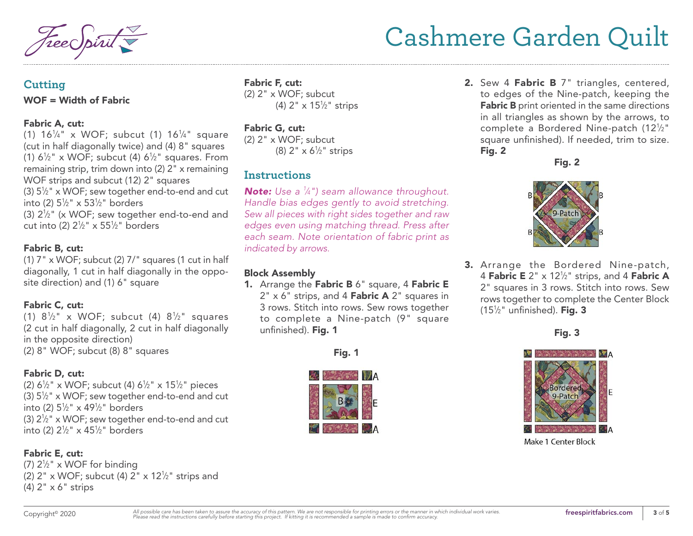### **Cutting**

#### WOF = Width of Fabric

#### Fabric A, cut:

(1)  $16^{1/4}$  x WOF; subcut (1)  $16^{1/4}$  square (cut in half diagonally twice) and (4) 8" squares (1)  $6\frac{1}{2}$ " x WOF; subcut (4)  $6\frac{1}{2}$ " squares. From remaining strip, trim down into (2) 2" x remaining WOF strips and subcut (12) 2" squares (3)  $5\frac{1}{2}$ " x WOF; sew together end-to-end and cut into (2) 51 ⁄2" x 531 ⁄2" borders (3)  $2\frac{1}{2}$ " (x WOF; sew together end-to-end and cut into (2) 21 ⁄2" x 551 ⁄2" borders

#### Fabric B, cut:

(1)  $7''$  x WOF; subcut (2)  $7''$  squares (1 cut in half diagonally, 1 cut in half diagonally in the opposite direction) and (1) 6" square

#### Fabric C, cut:

(1)  $8\frac{1}{2}$  x WOF; subcut (4)  $8\frac{1}{2}$  squares (2 cut in half diagonally, 2 cut in half diagonally in the opposite direction) (2) 8" WOF; subcut (8) 8" squares

#### Fabric D, cut:

(2) 61 ⁄2" x WOF; subcut (4) 61 ⁄2" x 151 ⁄2" pieces (3)  $5\frac{1}{2}$ " x WOF; sew together end-to-end and cut into (2) 51 ⁄2" x 491 ⁄2" borders (3)  $2\frac{1}{2}$ " x WOF; sew together end-to-end and cut into (2) 21 ⁄2" x 451 ⁄2" borders

#### Fabric E, cut:

(7)  $2\frac{1}{2}$ " x WOF for binding (2)  $2" \times \text{WOF}$ ; subcut (4)  $2" \times 12\frac{1}{2}$ " strips and (4) 2" x 6" strips

Fabric F, cut: (2) 2" x WOF; subcut (4) 2" x 151 ⁄2" strips

#### Fabric G, cut:

(2) 2" x WOF; subcut (8) 2" x 61 ⁄2" strips

#### **Instructions**

*Note: Use a 1 ⁄4") seam allowance throughout. Handle bias edges gently to avoid stretching. Sew all pieces with right sides together and raw edges even using matching thread. Press after each seam. Note orientation of fabric print as indicated by arrows.*

#### Block Assembly

1. Arrange the Fabric B 6" square, 4 Fabric E  $2" \times 6"$  strips, and 4 Fabric A  $2"$  squares in 3 rows. Stitch into rows. Sew rows together to complete a Nine-patch (9" square unfinished). Fig. 1





2. Sew 4 Fabric B 7" triangles, centered, to edges of the Nine-patch, keeping the Fabric B print oriented in the same directions in all triangles as shown by the arrows, to complete a Bordered Nine-patch (121 ⁄2" square unfinished). If needed, trim to size. Fig. 2

Fig. 2



3. Arrange the Bordered Nine-patch, 4 Fabric E 2"  $\times$  12<sup>1</sup>/<sub>2</sub>" strips, and 4 Fabric A 2" squares in 3 rows. Stitch into rows. Sew rows together to complete the Center Block (15 $\frac{1}{2}$ " unfinished). Fig. 3

Fig. 3

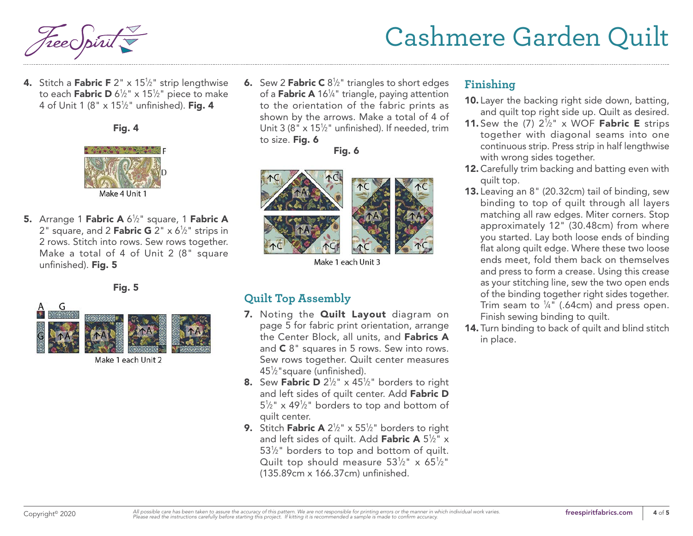**4.** Stitch a **Fabric F** 2"  $\times$  15½" strip lengthwise to each **Fabric D** 6½" x 15½" piece to make 4 of Unit 1 (8" x 15½" unfinished). **Fig. 4** 





- Make 4 Unit
- 5. Arrange 1 Fabric A 6<sup>1</sup>/<sub>2</sub>" square, 1 Fabric A 2" square, and 2 **Fabric G** 2" x 6½" strips in 2 rows. Stitch into rows. Sew rows together. Make a total of 4 of Unit 2 (8" square unfinished). Fig. 5

Fig. 5



Make 1 each Unit 2

**6.** Sew 2 **Fabric C**  $8\frac{1}{2}$ " triangles to short edges of a **Fabric A** 16¼" triangle, paying attention to the orientation of the fabric prints as shown by the arrows. Make a total of 4 of Unit 3 (8"  $\times$  15<sup>1</sup>/<sub>2</sub>" unfinished). If needed, trim to size. Fig. 6

Fig. 6



Make 1 each Unit 3

### **Quilt Top Assembly**

- 7. Noting the **Quilt Layout** diagram on page 5 for fabric print orientation, arrange the Center Block, all units, and Fabrics A and C 8" squares in 5 rows. Sew into rows. Sew rows together. Quilt center measures 451 ⁄2"square (unfinished).
- **8.** Sew Fabric D  $2\frac{1}{2}$ " x 45<sup> $1/2$ </sup>" borders to right and left sides of quilt center. Add Fabric D  $5\frac{1}{2}$ " x 49<sup>1</sup>/<sub>2</sub>" borders to top and bottom of quilt center.
- **9.** Stitch **Fabric A**  $2\frac{1}{2}$ " x  $55\frac{1}{2}$ " borders to right and left sides of quilt. Add **Fabric A** 5½" x 53<sup>1/2</sup> borders to top and bottom of quilt. Quilt top should measure  $53\frac{1}{2}$ " x  $65\frac{1}{2}$ " (135.89cm x 166.37cm) unfinished.

### **Finishing**

- 10. Layer the backing right side down, batting, and quilt top right side up. Quilt as desired.
- **11.** Sew the  $(7)$   $2\frac{1}{2}$ " x WOF **Fabric E** strips together with diagonal seams into one continuous strip. Press strip in half lengthwise with wrong sides together.
- 12. Carefully trim backing and batting even with quilt top.
- 13. Leaving an 8" (20.32cm) tail of binding, sew binding to top of quilt through all layers matching all raw edges. Miter corners. Stop approximately 12" (30.48cm) from where you started. Lay both loose ends of binding flat along quilt edge. Where these two loose ends meet, fold them back on themselves and press to form a crease. Using this crease as your stitching line, sew the two open ends of the binding together right sides together. Trim seam to  $\frac{1}{4}$ " (.64cm) and press open. Finish sewing binding to quilt.
- 14. Turn binding to back of quilt and blind stitch in place.